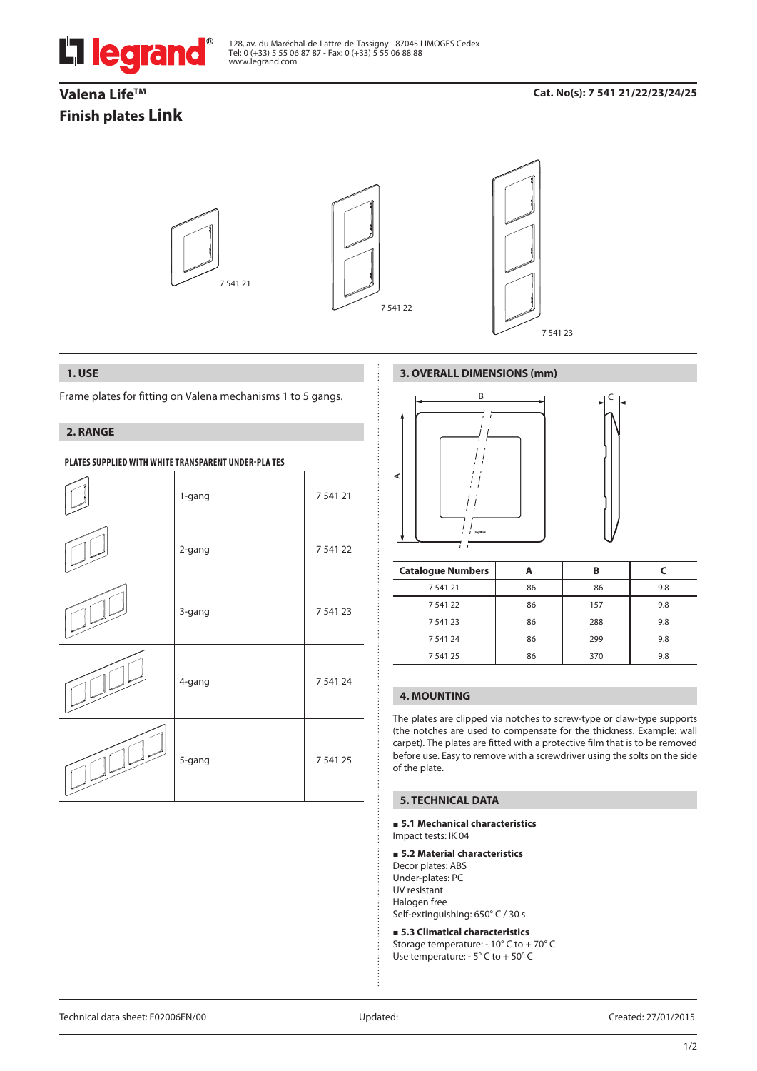

128, av. du Maréchal-de-Lattre-de-Tassigny - 87045 LIMOGES Cedex Tel: 0 (+33) 5 55 06 87 87 - Fax: 0 (+33) 5 55 06 88 88 www.legrand.com

## Valena Life<sup>™</sup> **Finish plates Link**

## **Cat. No(s): 7 541 21/22/23/24/25**



### **1. USE**

Frame plates for fitting on Valena mechanisms 1 to 5 gangs.

## **2. RANGE**

| PLATES SUPPLIED WITH WHITE TRANSPARENT UNDER-PLATES |        |          |  |
|-----------------------------------------------------|--------|----------|--|
|                                                     | 1-gang | 7 541 21 |  |
|                                                     | 2-gang | 7 541 22 |  |
|                                                     | 3-gang | 7 541 23 |  |
|                                                     | 4-gang | 7 541 24 |  |
|                                                     | 5-gang | 7 541 25 |  |

## **3. OVERALL DIMENSIONS (mm)**



| <b>Catalogue Numbers</b> |    | B   |     |
|--------------------------|----|-----|-----|
| 754121                   | 86 | 86  | 9.8 |
| 7 541 22                 | 86 | 157 | 9.8 |
| 7 541 23                 | 86 | 288 | 9.8 |
| 7 541 24                 | 86 | 299 | 9.8 |
| 7 541 25                 | 86 | 370 | 9.8 |

## **4. MOUNTING**

The plates are clipped via notches to screw-type or claw-type supports (the notches are used to compensate for the thickness. Example: wall carpet). The plates are fitted with a protective film that is to be removed before use. Easy to remove with a screwdriver using the solts on the side of the plate.

## **5. TECHNICAL DATA**

#### **5.1 Mechanical characteristics** Impact tests: IK 04

## **5.2 Material characteristics**

Decor plates: ABS Under-plates: PC UV resistant Halogen free Self-extinguishing: 650° C / 30 s

 **5.3 Climatical characteristics** Storage temperature: - 10° C to + 70° C Use temperature: - 5° C to + 50° C

Technical data sheet: F02006EN/00 Updated: Created: 27/01/2015